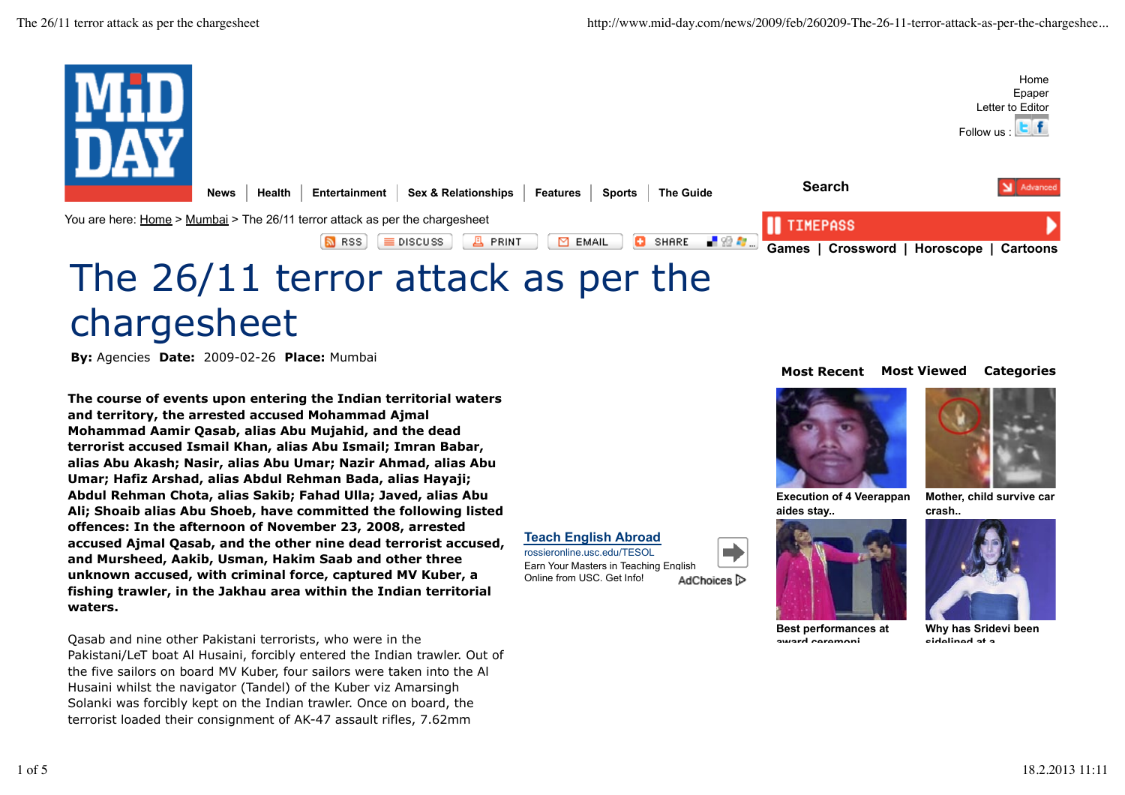

**By:** Agencies **Date:** 2009-02-26 **Place:** Mumbai

**The course of events upon entering the Indian territorial waters and territory, the arrested accused Mohammad Ajmal Mohammad Aamir Qasab, alias Abu Mujahid, and the dead terrorist accused Ismail Khan, alias Abu Ismail; Imran Babar, alias Abu Akash; Nasir, alias Abu Umar; Nazir Ahmad, alias Abu Umar; Hafiz Arshad, alias Abdul Rehman Bada, alias Hayaji; Abdul Rehman Chota, alias Sakib; Fahad Ulla; Javed, alias Abu Ali; Shoaib alias Abu Shoeb, have committed the following listed offences: In the afternoon of November 23, 2008, arrested accused Ajmal Qasab, and the other nine dead terrorist accused, and Mursheed, Aakib, Usman, Hakim Saab and other three unknown accused, with criminal force, captured MV Kuber, a fishing trawler, in the Jakhau area within the Indian territorial waters.**

Qasab and nine other Pakistani terrorists, who were in the Pakistani/LeT boat Al Husaini, forcibly entered the Indian trawler. Out of the five sailors on board MV Kuber, four sailors were taken into the Al Husaini whilst the navigator (Tandel) of the Kuber viz Amarsingh Solanki was forcibly kept on the Indian trawler. Once on board, the terrorist loaded their consignment of AK-47 assault rifles, 7.62mm

#### **Most Recent Most Viewed Categories**



**Execution of 4 Veerappan aides stay..**



**Mother, child survive car crash..**

#### **Teach English Abroad**

rossieronline.usc.edu/TESOL Earn Your Masters in Teaching English Online from USC. Get Info! AdChoices<sup>1></sup>



**Best performances at award ceremoni..**

**Why has Sridevi been**

**sidelined at a..**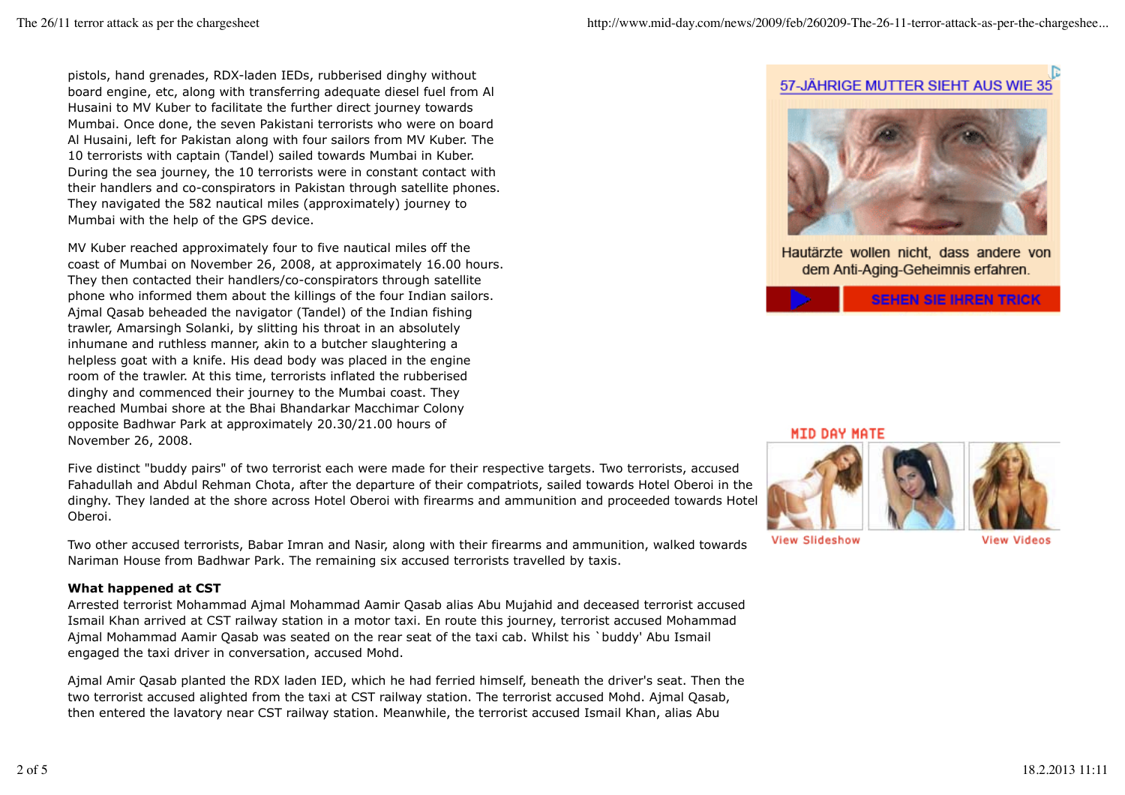pistols, hand grenades, RDX-laden IEDs, rubberised dinghy without board engine, etc, along with transferring adequate diesel fuel from Al Husaini to MV Kuber to facilitate the further direct journey towards Mumbai. Once done, the seven Pakistani terrorists who were on board Al Husaini, left for Pakistan along with four sailors from MV Kuber. The 10 terrorists with captain (Tandel) sailed towards Mumbai in Kuber. During the sea journey, the 10 terrorists were in constant contact with their handlers and co-conspirators in Pakistan through satellite phones. They navigated the 582 nautical miles (approximately) journey to Mumbai with the help of the GPS device.

MV Kuber reached approximately four to five nautical miles off the coast of Mumbai on November 26, 2008, at approximately 16.00 hours. They then contacted their handlers/co-conspirators through satellite phone who informed them about the killings of the four Indian sailors. Ajmal Qasab beheaded the navigator (Tandel) of the Indian fishing trawler, Amarsingh Solanki, by slitting his throat in an absolutely inhumane and ruthless manner, akin to a butcher slaughtering a helpless goat with a knife. His dead body was placed in the engine room of the trawler. At this time, terrorists inflated the rubberised dinghy and commenced their journey to the Mumbai coast. They reached Mumbai shore at the Bhai Bhandarkar Macchimar Colony opposite Badhwar Park at approximately 20.30/21.00 hours of November 26, 2008.

Five distinct "buddy pairs" of two terrorist each were made for their respective targets. Two terrorists, accused Fahadullah and Abdul Rehman Chota, after the departure of their compatriots, sailed towards Hotel Oberoi in the dinghy. They landed at the shore across Hotel Oberoi with firearms and ammunition and proceeded towards Hotel Oberoi.

Two other accused terrorists, Babar Imran and Nasir, along with their firearms and ammunition, walked towards Nariman House from Badhwar Park. The remaining six accused terrorists travelled by taxis.

# **What happened at CST**

Arrested terrorist Mohammad Ajmal Mohammad Aamir Qasab alias Abu Mujahid and deceased terrorist accused Ismail Khan arrived at CST railway station in a motor taxi. En route this journey, terrorist accused Mohammad Ajmal Mohammad Aamir Qasab was seated on the rear seat of the taxi cab. Whilst his `buddy' Abu Ismail engaged the taxi driver in conversation, accused Mohd.

Ajmal Amir Qasab planted the RDX laden IED, which he had ferried himself, beneath the driver's seat. Then the two terrorist accused alighted from the taxi at CST railway station. The terrorist accused Mohd. Ajmal Qasab, then entered the lavatory near CST railway station. Meanwhile, the terrorist accused Ismail Khan, alias Abu

# 57-JÄHRIGE MUTTER SIEHT AUS WIE 35



Hautärzte wollen nicht, dass andere von dem Anti-Aging-Geheimnis erfahren.



MID DAY MATE



**View Slideshow** 

**View Videos**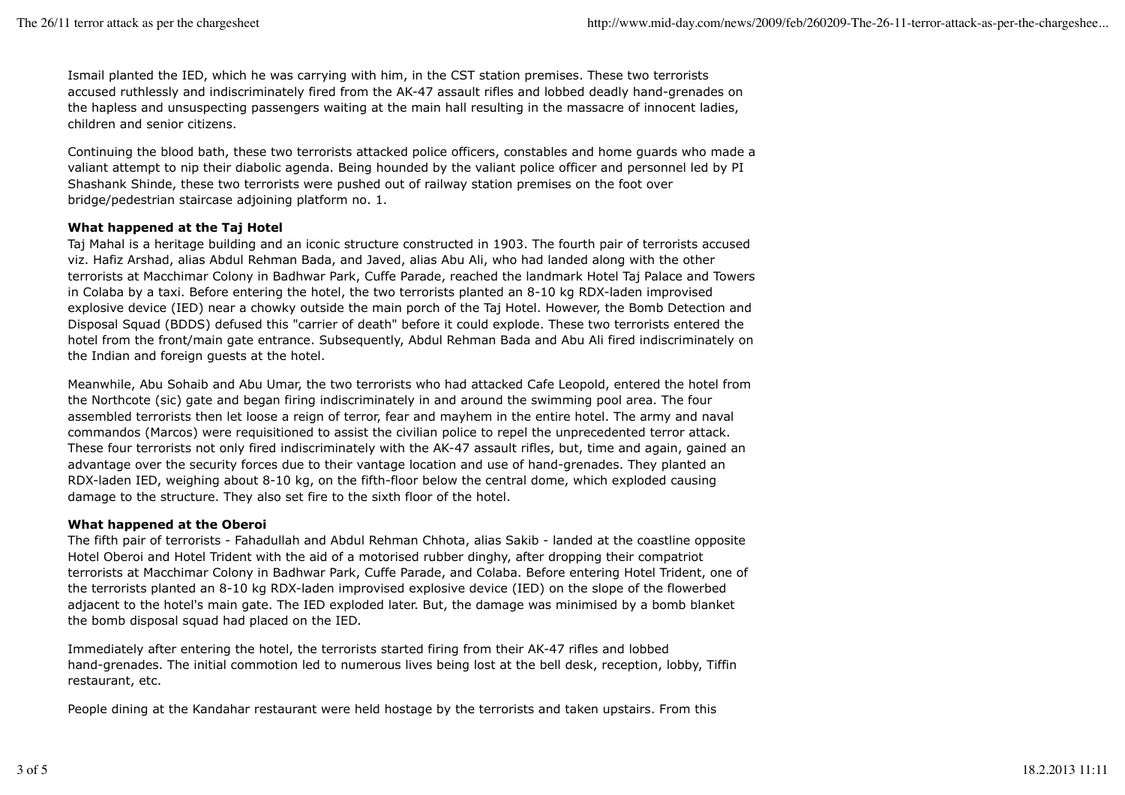Ismail planted the IED, which he was carrying with him, in the CST station premises. These two terrorists accused ruthlessly and indiscriminately fired from the AK-47 assault rifles and lobbed deadly hand-grenades on the hapless and unsuspecting passengers waiting at the main hall resulting in the massacre of innocent ladies, children and senior citizens.

Continuing the blood bath, these two terrorists attacked police officers, constables and home guards who made a valiant attempt to nip their diabolic agenda. Being hounded by the valiant police officer and personnel led by PI Shashank Shinde, these two terrorists were pushed out of railway station premises on the foot over bridge/pedestrian staircase adjoining platform no. 1.

# **What happened at the Taj Hotel**

Taj Mahal is a heritage building and an iconic structure constructed in 1903. The fourth pair of terrorists accused viz. Hafiz Arshad, alias Abdul Rehman Bada, and Javed, alias Abu Ali, who had landed along with the other terrorists at Macchimar Colony in Badhwar Park, Cuffe Parade, reached the landmark Hotel Taj Palace and Towers in Colaba by a taxi. Before entering the hotel, the two terrorists planted an 8-10 kg RDX-laden improvised explosive device (IED) near a chowky outside the main porch of the Taj Hotel. However, the Bomb Detection and Disposal Squad (BDDS) defused this "carrier of death" before it could explode. These two terrorists entered the hotel from the front/main gate entrance. Subsequently, Abdul Rehman Bada and Abu Ali fired indiscriminately on the Indian and foreign guests at the hotel.

Meanwhile, Abu Sohaib and Abu Umar, the two terrorists who had attacked Cafe Leopold, entered the hotel from the Northcote (sic) gate and began firing indiscriminately in and around the swimming pool area. The four assembled terrorists then let loose a reign of terror, fear and mayhem in the entire hotel. The army and naval commandos (Marcos) were requisitioned to assist the civilian police to repel the unprecedented terror attack. These four terrorists not only fired indiscriminately with the AK-47 assault rifles, but, time and again, gained an advantage over the security forces due to their vantage location and use of hand-grenades. They planted an RDX-laden IED, weighing about 8-10 kg, on the fifth-floor below the central dome, which exploded causing damage to the structure. They also set fire to the sixth floor of the hotel.

## **What happened at the Oberoi**

The fifth pair of terrorists - Fahadullah and Abdul Rehman Chhota, alias Sakib - landed at the coastline opposite Hotel Oberoi and Hotel Trident with the aid of a motorised rubber dinghy, after dropping their compatriot terrorists at Macchimar Colony in Badhwar Park, Cuffe Parade, and Colaba. Before entering Hotel Trident, one of the terrorists planted an 8-10 kg RDX-laden improvised explosive device (IED) on the slope of the flowerbed adjacent to the hotel's main gate. The IED exploded later. But, the damage was minimised by a bomb blanket the bomb disposal squad had placed on the IED.

Immediately after entering the hotel, the terrorists started firing from their AK-47 rifles and lobbed hand-grenades. The initial commotion led to numerous lives being lost at the bell desk, reception, lobby, Tiffin restaurant, etc.

People dining at the Kandahar restaurant were held hostage by the terrorists and taken upstairs. From this